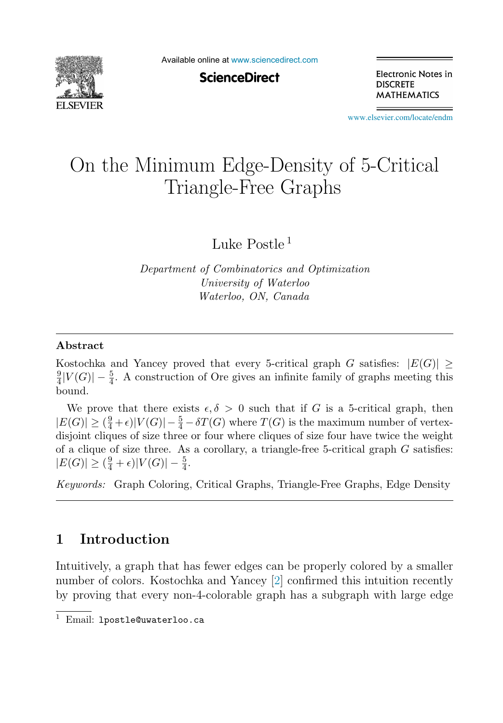

Available online at [www.sciencedirect.com](http://www.sciencedirect.com)

**ScienceDirect** 

Electronic Notes in **DISCRETE MATHEMATICS** 

[www.elsevier.com/locate/endm](http://www.elsevier.com/locate/endm)

# On the Minimum Edge-Density of 5-Critical Triangle-Free Graphs

Luke Postle <sup>1</sup>

*Department of Combinatorics and Optimization University of Waterloo Waterloo, ON, Canada*

#### **Abstract**

Kostochka and Yancey proved that every 5-critical graph G satisfies:  $|E(G)| \ge$  $\frac{9}{4}|V(G)|-\frac{5}{4}$ . A construction of Ore gives an infinite family of graphs meeting this bound.

We prove that there exists  $\epsilon, \delta > 0$  such that if G is a 5-critical graph, then  $|E(G)| \geq (\frac{9}{4} + \epsilon)|V(G)| - \frac{5}{4} - \delta T(G)$  where  $T(G)$  is the maximum number of vertexdisjoint cliques of size three or four where cliques of size four have twice the weight of a clique of size three. As a corollary, a triangle-free 5-critical graph  $G$  satisfies:  $|E(G)| \geq (\frac{9}{4} + \epsilon)|V(G)| - \frac{5}{4}.$ 

*Keywords:* Graph Coloring, Critical Graphs, Triangle-Free Graphs, Edge Density

## **1 Introduction**

Intuitively, a graph that has fewer edges can be properly colored by a smaller number of colors. Kostochka and Yancey [\[2\]](#page-6-0) confirmed this intuition recently by proving that every non-4-colorable graph has a subgraph with large edge

<sup>&</sup>lt;sup>1</sup> Email: 1postle@uwaterloo.ca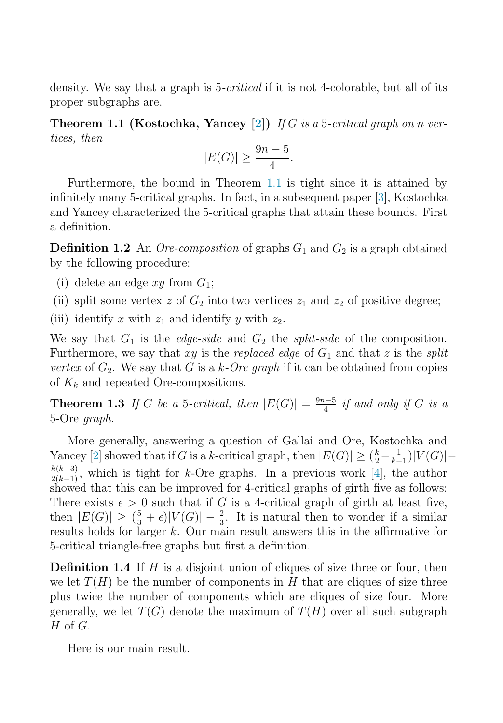<span id="page-1-0"></span>density. We say that a graph is 5-*critical* if it is not 4-colorable, but all of its proper subgraphs are.

**Theorem 1.1 (Kostochka, Yancey [\[2\]](#page-6-0))** If G is a 5-critical graph on n vertices, then

$$
|E(G)| \ge \frac{9n-5}{4}.
$$

Furthermore, the bound in Theorem 1.1 is tight since it is attained by infinitely many 5-critical graphs. In fact, in a subsequent paper [\[3\]](#page-6-0), Kostochka and Yancey characterized the 5-critical graphs that attain these bounds. First a definition.

**Definition 1.2** An *Ore-composition* of graphs  $G_1$  and  $G_2$  is a graph obtained by the following procedure:

- (i) delete an edge  $xy$  from  $G_1$ ;
- (ii) split some vertex z of  $G_2$  into two vertices  $z_1$  and  $z_2$  of positive degree;

(iii) identify x with  $z_1$  and identify y with  $z_2$ .

We say that  $G_1$  is the *edge-side* and  $G_2$  the *split-side* of the composition. Furthermore, we say that xy is the replaced edge of  $G_1$  and that z is the split vertex of  $G_2$ . We say that G is a k-Ore graph if it can be obtained from copies of  $K_k$  and repeated Ore-compositions.

**Theorem 1.3** If G be a 5-critical, then  $|E(G)| = \frac{9n-5}{4}$  if and only if G is a 5-Ore graph.

More generally, answering a question of Gallai and Ore, Kostochka and Yancey [\[2\]](#page-6-0) showed that if G is a k-critical graph, then  $|E(G)| \geq (\frac{k}{2} - \frac{1}{k-1})|V(G)| \frac{k(k-3)}{2(k-1)}$ , which is tight for k-Ore graphs. In a previous work [\[4\]](#page-6-0), the author showed that this can be improved for 4-critical graphs of girth five as follows: There exists  $\epsilon > 0$  such that if G is a 4-critical graph of girth at least five, then  $|E(G)| \geq (\frac{5}{3} + \epsilon)|V(G)| - \frac{2}{3}$ . It is natural then to wonder if a similar results holds for larger k. Our main result answers this in the affirmative for 5-critical triangle-free graphs but first a definition.

**Definition 1.4** If H is a disjoint union of cliques of size three or four, then we let  $T(H)$  be the number of components in H that are cliques of size three plus twice the number of components which are cliques of size four. More generally, we let  $T(G)$  denote the maximum of  $T(H)$  over all such subgraph  $H$  of  $G$ .

Here is our main result.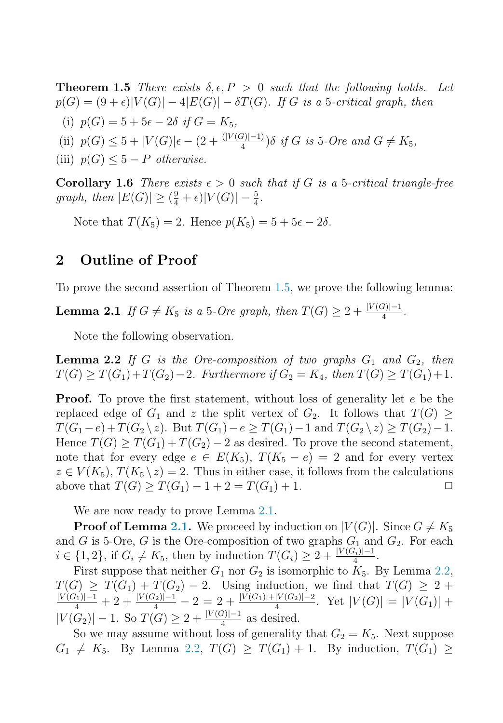**Theorem 1.5** There exists  $\delta, \epsilon, P > 0$  such that the following holds. Let  $p(G) = (9 + \epsilon)|V(G)| - 4|E(G)| - \delta T(G)$ . If G is a 5-critical graph, then (i)  $p(G) = 5 + 5\epsilon - 2\delta$  if  $G = K_5$ ,

(ii)  $p(G) \leq 5 + |V(G)|\epsilon - (2 + \frac{(|V(G)|-1)}{4})\delta$  if G is 5-Ore and  $G \neq K_5$ ,

(iii)  $p(G) \leq 5 - P$  otherwise.

**Corollary 1.6** There exists  $\epsilon > 0$  such that if G is a 5-critical triangle-free graph, then  $|E(G)| \ge (\frac{9}{4} + \epsilon)|V(G)| - \frac{5}{4}$ .

Note that  $T(K_5) = 2$ . Hence  $p(K_5) = 5+5\epsilon-2\delta$ .

## **2 Outline of Proof**

To prove the second assertion of Theorem [1.5,](#page-1-0) we prove the following lemma:

**Lemma 2.1** If  $G \neq K_5$  is a 5-Ore graph, then  $T(G) \geq 2 + \frac{|V(G)|-1}{4}$ .

Note the following observation.

**Lemma 2.2** If G is the Ore-composition of two graphs  $G_1$  and  $G_2$ , then  $T(G) \geq T(G_1) + T(G_2) - 2$ . Furthermore if  $G_2 = K_4$ , then  $T(G) \geq T(G_1) + 1$ .

**Proof.** To prove the first statement, without loss of generality let e be the replaced edge of  $G_1$  and z the split vertex of  $G_2$ . It follows that  $T(G) \geq$  $T(G_1 - e) + T(G_2 \setminus z)$ . But  $T(G_1) - e \geq T(G_1) - 1$  and  $T(G_2 \setminus z) \geq T(G_2) - 1$ . Hence  $T(G) > T(G_1) + T(G_2) - 2$  as desired. To prove the second statement, note that for every edge  $e \in E(K_5)$ ,  $T(K_5 - e) = 2$  and for every vertex  $z \in V(K_5)$ ,  $T(K_5 \setminus z) = 2$ . Thus in either case, it follows from the calculations above that  $T(G) > T(G_1) - 1 + 2 = T(G_1) + 1$ above that  $T(G) \geq T(G_1) - 1 + 2 = T(G_1) + 1$ .

We are now ready to prove Lemma 2.1.

**Proof of Lemma 2.1.** We proceed by induction on  $|V(G)|$ . Since  $G \neq K_5$ and G is 5-Ore, G is the Ore-composition of two graphs  $G_1$  and  $G_2$ . For each  $i \in \{1, 2\}$ , if  $G_i \neq K_5$ , then by induction  $T(G_i) \geq 2 + \frac{|V(G_i)| - 1}{4}$ .

First suppose that neither  $G_1$  nor  $G_2$  is isomorphic to  $K_5$ . By Lemma 2.2,  $T(G) \geq T(G_1) + T(G_2) - 2$ . Using induction, we find that  $T(G) \geq 2 + \frac{|V(G_1)|-1}{4} + 2 + \frac{|V(G_2)|-1}{4} - 2 = 2 + \frac{|V(G_1)|+|V(G_2)|-2}{4}$ . Yet  $|V(G)| = |V(G_1)| +$  $|V(G_2)| - 1$ . So  $T(G) \geq 2 + \frac{|V(G)| - 1}{4}$  as desired.

So we may assume without loss of generality that  $G_2 = K_5$ . Next suppose  $G_1 \neq K_5$ . By Lemma 2.2,  $T(G) \geq T(G_1) + 1$ . By induction,  $T(G_1) \geq$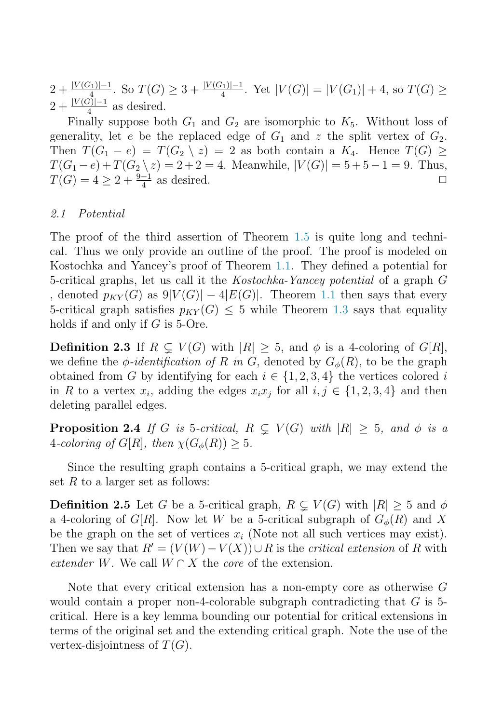$2+\frac{|V(G_1)|-1}{|V(G_1)|}$ . So  $T(G)\geq 3+\frac{|V(G_1)|-1}{4}$ . Yet  $|V(G)|=|V(G_1)|+4$ , so  $T(G)\geq$  $2 + \frac{|V(G)|-1}{4}$  as desired.

Finally suppose both  $G_1$  and  $G_2$  are isomorphic to  $K_5$ . Without loss of generality, let e be the replaced edge of  $G_1$  and z the split vertex of  $G_2$ . Then  $T(G_1 - e) = T(G_2 \setminus z) = 2$  as both contain a  $K_4$ . Hence  $T(G) \ge$  $T(G_1 - e) + T(G_2 \setminus z) = 2 + 2 = 4$ . Meanwhile,  $|V(G)| = 5 + 5 - 1 = 9$ . Thus,  $T(G) = 4 > 2 + \frac{9-1}{2}$  as desired  $T(G)=4\geq 2+\frac{9-1}{4}$  as desired.

#### 2.1 Potential

The proof of the third assertion of Theorem [1.5](#page-1-0) is quite long and technical. Thus we only provide an outline of the proof. The proof is modeled on Kostochka and Yancey's proof of Theorem [1.1.](#page-1-0) They defined a potential for 5-critical graphs, let us call it the Kostochka-Yancey potential of a graph G , denoted  $p_{KY}(G)$  as  $9|V(G)| - 4|E(G)|$ . Theorem [1.1](#page-1-0) then says that every 5-critical graph satisfies  $p_{KY}(G) \leq 5$  while Theorem [1.3](#page-1-0) says that equality holds if and only if  $G$  is 5-Ore.

**Definition 2.3** If  $R \subsetneq V(G)$  with  $|R| \geq 5$ , and  $\phi$  is a 4-coloring of  $G[R]$ , we define the  $\phi$ -identification of R in G, denoted by  $G_{\phi}(R)$ , to be the graph obtained from G by identifying for each  $i \in \{1, 2, 3, 4\}$  the vertices colored i in R to a vertex  $x_i$ , adding the edges  $x_ix_j$  for all  $i, j \in \{1, 2, 3, 4\}$  and then deleting parallel edges.

**Proposition 2.4** If G is 5-critical,  $R \subsetneq V(G)$  with  $|R| \geq 5$ , and  $\phi$  is a 4-coloring of  $G[R]$ , then  $\chi(G_{\phi}(R)) \geq 5$ .

Since the resulting graph contains a 5-critical graph, we may extend the set  $R$  to a larger set as follows:

**Definition 2.5** Let G be a 5-critical graph,  $R \subsetneq V(G)$  with  $|R| \geq 5$  and  $\phi$ a 4-coloring of  $G[R]$ . Now let W be a 5-critical subgraph of  $G_{\phi}(R)$  and X be the graph on the set of vertices  $x_i$  (Note not all such vertices may exist). Then we say that  $R' = (V(W) - V(X)) \cup R$  is the *critical extension* of R with extender W. We call  $W \cap X$  the core of the extension.

Note that every critical extension has a non-empty core as otherwise G would contain a proper non-4-colorable subgraph contradicting that  $G$  is 5critical. Here is a key lemma bounding our potential for critical extensions in terms of the original set and the extending critical graph. Note the use of the vertex-disjointness of  $T(G)$ .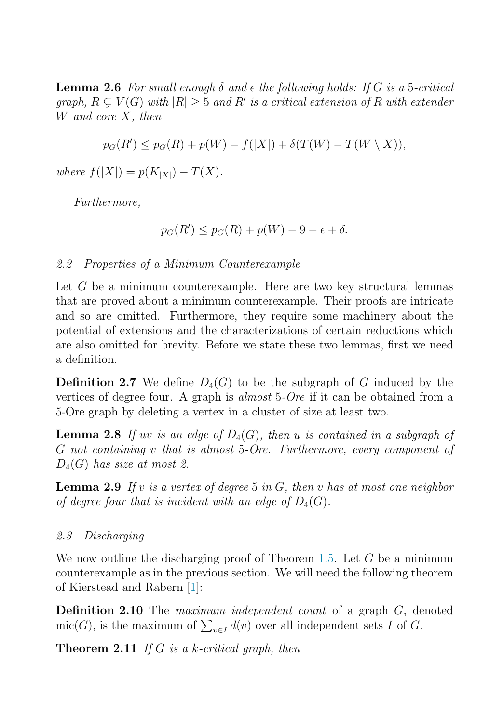<span id="page-4-0"></span>**Lemma 2.6** For small enough  $\delta$  and  $\epsilon$  the following holds: If G is a 5-critical graph,  $R \subsetneq V(G)$  with  $|R| \geq 5$  and  $R'$  is a critical extension of R with extender W and core X, then

$$
p_G(R') \le p_G(R) + p(W) - f(|X|) + \delta(T(W) - T(W \setminus X)),
$$

where  $f(|X|) = p(K_{|X|}) - T(X)$ .

Furthermore,

$$
p_G(R') \le p_G(R) + p(W) - 9 - \epsilon + \delta.
$$

2.2 Properties of a Minimum Counterexample

Let G be a minimum counterexample. Here are two key structural lemmas that are proved about a minimum counterexample. Their proofs are intricate and so are omitted. Furthermore, they require some machinery about the potential of extensions and the characterizations of certain reductions which are also omitted for brevity. Before we state these two lemmas, first we need a definition.

**Definition 2.7** We define  $D_4(G)$  to be the subgraph of G induced by the vertices of degree four. A graph is almost 5-Ore if it can be obtained from a 5-Ore graph by deleting a vertex in a cluster of size at least two.

**Lemma 2.8** If uv is an edge of  $D_4(G)$ , then u is contained in a subgraph of G not containing v that is almost 5-Ore. Furthermore, every component of  $D_4(G)$  has size at most 2.

**Lemma 2.9** If v is a vertex of degree 5 in  $G$ , then v has at most one neighbor of degree four that is incident with an edge of  $D_4(G)$ .

#### 2.3 Discharging

We now outline the discharging proof of Theorem [1.5.](#page-1-0) Let  $G$  be a minimum counterexample as in the previous section. We will need the following theorem of Kierstead and Rabern [\[1\]](#page-5-0):

**Definition 2.10** The *maximum independent count* of a graph G, denoted mic(G), is the maximum of  $\sum_{v \in I} d(v)$  over all independent sets I of G.

**Theorem 2.11** If G is a k-critical graph, then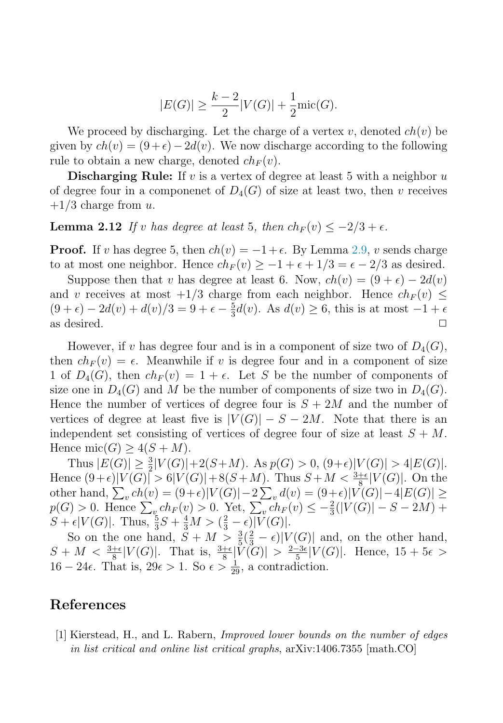$$
|E(G)| \ge \frac{k-2}{2}|V(G)| + \frac{1}{2}\text{mic}(G).
$$

<span id="page-5-0"></span>We proceed by discharging. Let the charge of a vertex v, denoted  $ch(v)$  be given by  $ch(v) = (9 + \epsilon) - 2d(v)$ . We now discharge according to the following rule to obtain a new charge, denoted  $ch_F(v)$ .

**Discharging Rule:** If v is a vertex of degree at least 5 with a neighbor u of degree four in a componenet of  $D_4(G)$  of size at least two, then v receives  $+1/3$  charge from u.

## **Lemma 2.12** If v has degree at least 5, then  $ch_F(v) \le -2/3 + \epsilon$ .

**Proof.** If v has degree 5, then  $ch(v) = -1 + \epsilon$ . By Lemma [2.9,](#page-4-0) v sends charge to at most one neighbor. Hence  $ch_F(v) \geq -1 + \epsilon + 1/3 = \epsilon - 2/3$  as desired.

Suppose then that v has degree at least 6. Now,  $ch(v) = (9 + \epsilon) - 2d(v)$ and v receives at most  $+1/3$  charge from each neighbor. Hence  $ch_F(v) \leq$  $(9 + \epsilon) - 2d(v) + d(v)/3 = 9 + \epsilon - \frac{5}{3}d(v)$ . As  $d(v) \ge 6$ , this is at most  $-1 + \epsilon$ as desired.  $\Box$ 

However, if v has degree four and is in a component of size two of  $D_4(G)$ , then  $ch_F (v) = \epsilon$ . Meanwhile if v is degree four and in a component of size 1 of  $D_4(G)$ , then  $ch_F(v) = 1 + \epsilon$ . Let S be the number of components of size one in  $D_4(G)$  and M be the number of components of size two in  $D_4(G)$ . Hence the number of vertices of degree four is  $S + 2M$  and the number of vertices of degree at least five is  $|V(G)| - S - 2M$ . Note that there is an independent set consisting of vertices of degree four of size at least  $S + M$ . Hence mic $(G)$  >  $4(S + M)$ .

Thus  $|E(G)| \ge \frac{3}{2}|V(G)| + 2(S+M)$ . As  $p(G) > 0$ ,  $(9+\epsilon)|V(G)| > 4|E(G)|$ . Hence  $(9+\epsilon)|V(G)| > 6|V(G)|+8(S+M)$ . Thus  $S+M < \frac{3+\epsilon}{8}|V(G)|$ . On the other hand,  $\sum_{v} ch(v) = (9+\epsilon)|V(G)| - 2\sum_{v} d(v) = (9+\epsilon)|V(G)| - 4|E(G)| \ge$  $p(G) > 0.$  Hence  $\sum_{v} ch_F(v) > 0.$  Yet,  $\sum_{v} ch_F(v) \leq -\frac{2}{3}(|V(G)| - S - 2M) +$  $S + \epsilon |V(G)|$ . Thus,  $\frac{5}{3}S + \frac{4}{3}M > (\frac{2}{3} - \epsilon)|V(G)|$ .

So on the one hand,  $S + M > \frac{3}{5}(\frac{2}{3} - \epsilon)|V(G)|$  and, on the other hand,  $S + M < \frac{3+\epsilon}{8}|V(G)|$ . That is,  $\frac{3+\epsilon}{8}|V(G)| > \frac{2-3\epsilon}{5}|V(G)|$ . Hence,  $15 + 5\epsilon >$ 16 − 24 $\epsilon$ . That is, 29 $\epsilon > 1$ . So  $\epsilon > \frac{1}{29}$ , a contradiction.

### **References**

[1] Kierstead, H., and L. Rabern, *Improved lower bounds on the number of edges in list critical and online list critical graphs*, arXiv:1406.7355 [math.CO]